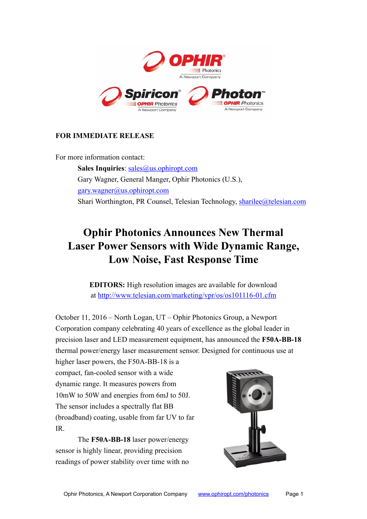

# **FOR IMMEDIATE RELEASE**

For more information contact:

**Sales Inquiries**: [sales@us.ophiropt.com](mailto:sales@us.ophiropt.com) Gary Wagner, General Manger, Ophir Photonics (U.S.), [gary.wagner@us.ophiropt.com](mailto:gary.wagner@us.ophiropt.com) Shari Worthington, PR Counsel, Telesian Technology, [sharilee@telesian.com](mailto:sharilee@telesian.com)

# **Ophir Photonics Announces New Thermal Laser Power Sensors with Wide Dynamic Range, Low Noise, Fast Response Time**

**EDITORS:** High resolution images are available for download at <http://www.telesian.com/marketing/vpr/os/os101116-01.cfm>

October 11, 2016 – North Logan, UT – Ophir Photonics Group, a Newport Corporation company celebrating 40 years of excellence as the global leader in precision laser and LED measurement equipment, has announced the **F50A-BB-18** thermal power/energy laser measurement sensor. Designed for continuous use at

higher laser powers, the F50A-BB-18 is a compact, fan-cooled sensor with a wide dynamic range. It measures powers from 10mW to 50W and energies from 6mJ to 50J. The sensor includes a spectrally flat BB (broadband) coating, usable from far UV to far IR.

The **F50A-BB-18** laser power/energy sensor is highly linear, providing precision readings of power stability over time with no

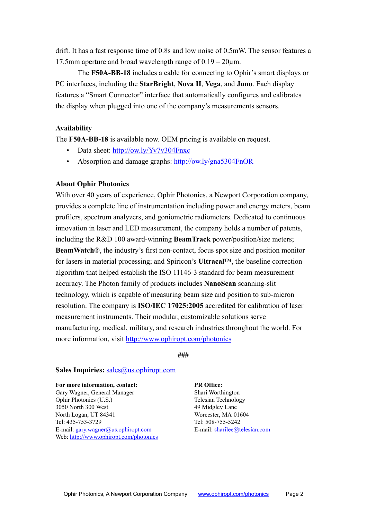drift. It has a fast response time of 0.8s and low noise of 0.5mW. The sensor features a 17.5mm aperture and broad wavelength range of  $0.19 - 20 \mu m$ .

The **F50A-BB-18** includes a cable for connecting to Ophir's smart displays or PC interfaces, including the **StarBright**, **Nova II**, **Vega**, and **Juno**. Each display features a "Smart Connector" interface that automatically configures and calibrates the display when plugged into one of the company's measurements sensors.

## **Availability**

The **F50A-BB-18** is available now. OEM pricing is available on request.

- Data sheet: <http://ow.ly/Yv7v304Fnxc>
- Absorption and damage graphs: http://ow.ly/gna5304FnOR

## **About Ophir Photonics**

With over 40 years of experience, Ophir Photonics, a Newport Corporation company, provides a complete line of instrumentation including power and energy meters, beam profilers, spectrum analyzers, and goniometric radiometers. Dedicated to continuous innovation in laser and LED measurement, the company holds a number of patents, including the R&D 100 award-winning **BeamTrack** power/position/size meters; **BeamWatch**®, the industry's first non-contact, focus spot size and position monitor for lasers in material processing; and Spiricon's **Ultracal**™, the baseline correction algorithm that helped establish the ISO 11146-3 standard for beam measurement accuracy. The Photon family of products includes **NanoScan** scanning-slit technology, which is capable of measuring beam size and position to sub-micron resolution. The company is **ISO/IEC 17025:2005** accredited for calibration of laser measurement instruments. Their modular, customizable solutions serve manufacturing, medical, military, and research industries throughout the world. For more information, visit <http://www.ophiropt.com/photonics>

**###** 

#### **Sales Inquiries:** [sales@us.ophiropt.com](mailto:sales@us.ophiropt.com)

#### **For more information, contact: PR Office:**

Gary Wagner, General Manager Shari Worthington Ophir Photonics (U.S.) Telesian Technology 3050 North 300 West 49 Midgley Lane North Logan, UT 84341 Worcester, MA 01604 Tel: 435-753-3729 Tel: 508-755-5242 E-mail: [gary.wagner@us.ophiropt.com](mailto:gary.wagner@us.ophiropt.com) E-mail: [sharilee@telesian.com](mailto:sharilee@telesian.com) Web:<http://www.ophiropt.com/photonics>